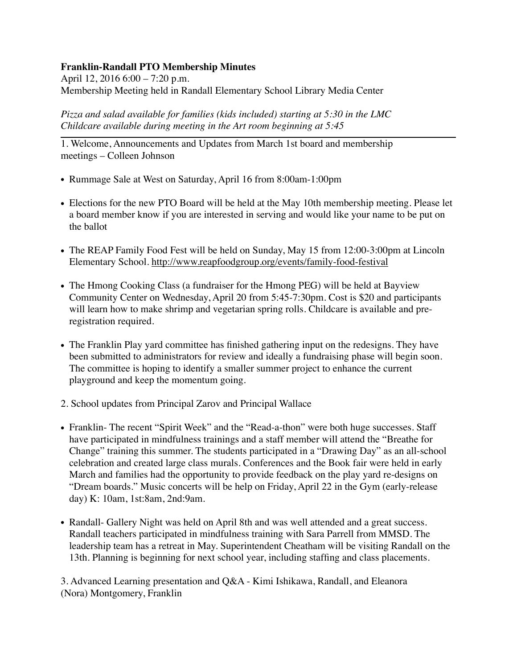## **Franklin-Randall PTO Membership Minutes**

April 12, 2016 6:00 – 7:20 p.m. Membership Meeting held in Randall Elementary School Library Media Center

*Pizza and salad available for families (kids included) starting at 5:30 in the LMC Childcare available during meeting in the Art room beginning at 5:45*

1. Welcome, Announcements and Updates from March 1st board and membership meetings – Colleen Johnson

- Rummage Sale at West on Saturday, April 16 from 8:00am-1:00pm
- Elections for the new PTO Board will be held at the May 10th membership meeting. Please let a board member know if you are interested in serving and would like your name to be put on the ballot
- The REAP Family Food Fest will be held on Sunday, May 15 from 12:00-3:00pm at Lincoln Elementary School.<http://www.reapfoodgroup.org/events/family-food-festival>
- The Hmong Cooking Class (a fundraiser for the Hmong PEG) will be held at Bayview Community Center on Wednesday, April 20 from 5:45-7:30pm. Cost is \$20 and participants will learn how to make shrimp and vegetarian spring rolls. Childcare is available and preregistration required.
- The Franklin Play yard committee has finished gathering input on the redesigns. They have been submitted to administrators for review and ideally a fundraising phase will begin soon. The committee is hoping to identify a smaller summer project to enhance the current playground and keep the momentum going.
- 2. School updates from Principal Zarov and Principal Wallace
- Franklin- The recent "Spirit Week" and the "Read-a-thon" were both huge successes. Staff have participated in mindfulness trainings and a staff member will attend the "Breathe for Change" training this summer. The students participated in a "Drawing Day" as an all-school celebration and created large class murals. Conferences and the Book fair were held in early March and families had the opportunity to provide feedback on the play yard re-designs on "Dream boards." Music concerts will be help on Friday, April 22 in the Gym (early-release day) K: 10am, 1st:8am, 2nd:9am.
- Randall- Gallery Night was held on April 8th and was well attended and a great success. Randall teachers participated in mindfulness training with Sara Parrell from MMSD. The leadership team has a retreat in May. Superintendent Cheatham will be visiting Randall on the 13th. Planning is beginning for next school year, including staffing and class placements.

3. Advanced Learning presentation and Q&A - Kimi Ishikawa, Randall, and Eleanora (Nora) Montgomery, Franklin